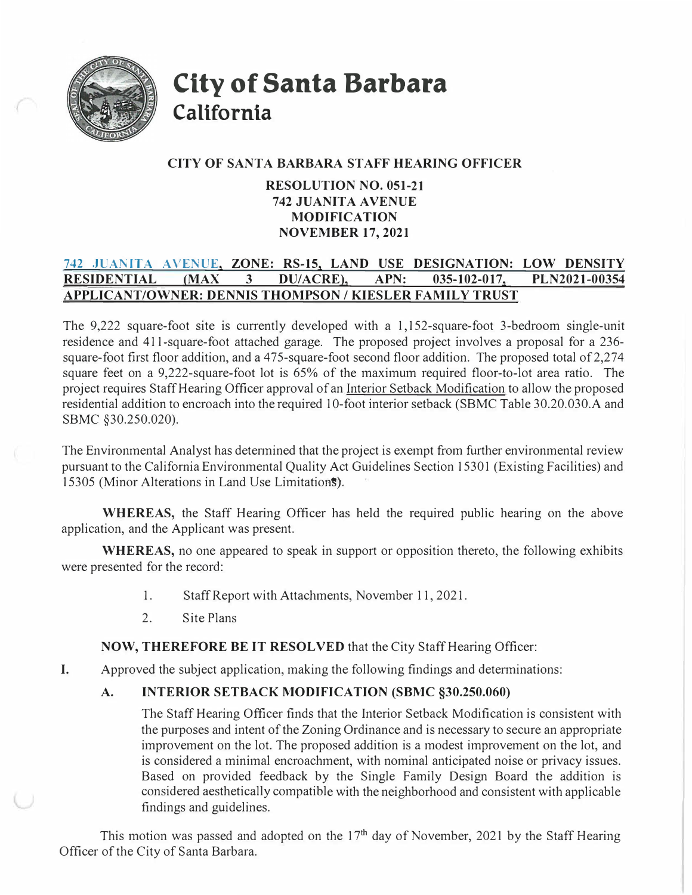

**City of Santa Barbara California** 

## **CITY OF SANTA BARBARA STAFF HEARING OFFICER**

## **RESOLUTION NO. 051-21 742 JUANITA AVENUE MODIFICATION NOVEMBER 17, 2021**

## 742 **JUANITA AVENUE, ZONE: RS-15, LAND USE DESIGNATION: LOW DENSITY RESIDENTIAL {MAX 3 DU/ACRE), APN: 035-102-017, PLN2021-00354 APPLICANT/OWNER: DENNIS THOMPSON / KIESLER FAMILY TRUST**

The 9,222 square-foot site is currently developed with a 1, 152-square-foot 3-bedroom single-unit residence and 411-square-foot attached garage. The proposed project involves a proposal for a 236 square-foot first floor addition, and a 475-square-foot second floor addition. The proposed total of 2,274 square feet on a 9,222-square-foot lot is 65% of the maximum required floor-to-lot area ratio. The project requires Staff Hearing Officer approval of an Interior Setback Modification to allow the proposed residential addition to encroach into the required 10-foot interior setback (SBMC Table 30.20.030.A and SBMC §30.250.020).

The Environmental Analyst has determined that the project is exempt from further environmental review pursuant to the California Environmental Quality Act Guidelines Section 15301 (Existing Facilities) and 15305 (Minor Alterations in Land Use Limitations).

**WHEREAS,** the Staff Hearing Officer has held the required public hearing on the above application, and the Applicant was present.

**WHEREAS,** no one appeared to speak in support or opposition thereto, the following exhibits were presented for the record:

- 1.Staff Report with Attachments, November 11, 2021.
- 2.Site Plans

**NOW, THEREFORE BE IT RESOLVED** that the City Staff Hearing Officer:

I. Approved the subject application, making the following findings and detenninations:

## **A.INTERIOR SETBACK MODIFICATION (SBMC §30.250.060)**

The Staff Hearing Officer finds that the Interior Setback Modification is consistent with the purposes and intent of the Zoning Ordinance and is necessary to secure an appropriate improvement on the lot. The proposed addition is a modest improvement on the lot, and is considered a minimal encroachment, with nominal anticipated noise or privacy issues. Based on provided feedback by the Single Family Design Board the addition is considered aesthetically compatible with the neighborhood and consistent with applicable findings and guidelines.

This motion was passed and adopted on the  $17<sup>th</sup>$  day of November, 2021 by the Staff Hearing Officer of the City of Santa Barbara.